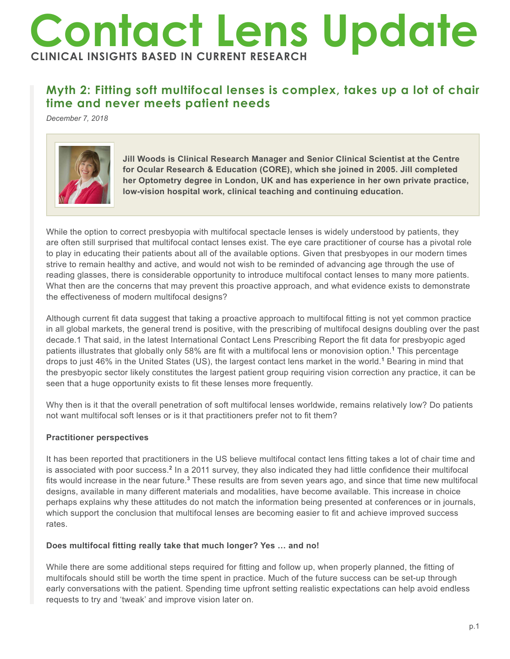# **Contact Lens Update CLINICAL INSIGHTS BASED IN CURRENT RESEARCH**

# **Myth 2: Fitting soft multifocal lenses is complex, takes up a lot of chair time and never meets patient needs**

*December 7, 2018*



**Jill Woods is Clinical Research Manager and Senior Clinical Scientist at the Centre for Ocular Research & Education (CORE), which she joined in 2005. Jill completed her Optometry degree in London, UK and has experience in her own private practice, low-vision hospital work, clinical teaching and continuing education.**

While the option to correct presbyopia with multifocal spectacle lenses is widely understood by patients, they are often still surprised that multifocal contact lenses exist. The eye care practitioner of course has a pivotal role to play in educating their patients about all of the available options. Given that presbyopes in our modern times strive to remain healthy and active, and would not wish to be reminded of advancing age through the use of reading glasses, there is considerable opportunity to introduce multifocal contact lenses to many more patients. What then are the concerns that may prevent this proactive approach, and what evidence exists to demonstrate the effectiveness of modern multifocal designs?

Although current fit data suggest that taking a proactive approach to multifocal fitting is not yet common practice in all global markets, the general trend is positive, with the prescribing of multifocal designs doubling over the past decade.1 That said, in the latest International Contact Lens Prescribing Report the fit data for presbyopic aged patients illustrates that globally only 58% are fit with a multifocal lens or monovision option.**<sup>1</sup>** This percentage drops to just 46% in the United States (US), the largest contact lens market in the world.**<sup>1</sup>** Bearing in mind that the presbyopic sector likely constitutes the largest patient group requiring vision correction any practice, it can be seen that a huge opportunity exists to fit these lenses more frequently.

Why then is it that the overall penetration of soft multifocal lenses worldwide, remains relatively low? Do patients not want multifocal soft lenses or is it that practitioners prefer not to fit them?

## **Practitioner perspectives**

It has been reported that practitioners in the US believe multifocal contact lens fitting takes a lot of chair time and is associated with poor success.<sup>2</sup> In a 2011 survey, they also indicated they had little confidence their multifocal fits would increase in the near future.<sup>3</sup> These results are from seven years ago, and since that time new multifocal designs, available in many different materials and modalities, have become available. This increase in choice perhaps explains why these attitudes do not match the information being presented at conferences or in journals, which support the conclusion that multifocal lenses are becoming easier to fit and achieve improved success rates.

### **Does multifocal fitting really take that much longer? Yes … and no!**

While there are some additional steps required for fitting and follow up, when properly planned, the fitting of multifocals should still be worth the time spent in practice. Much of the future success can be set-up through early conversations with the patient. Spending time upfront setting realistic expectations can help avoid endless requests to try and 'tweak' and improve vision later on.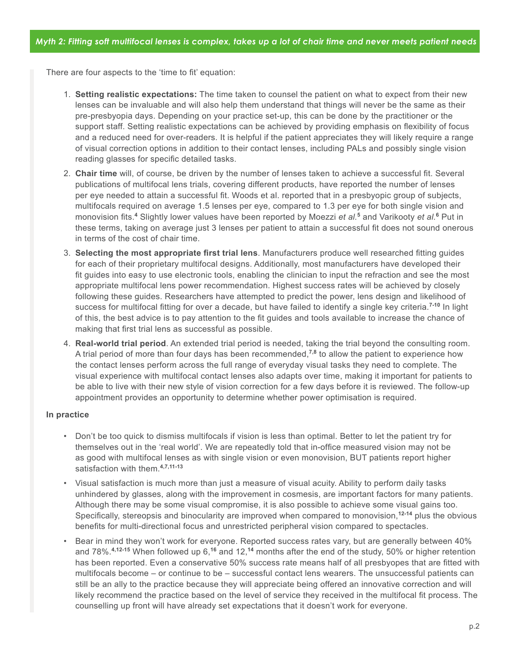There are four aspects to the 'time to fit' equation:

- 1. **Setting realistic expectations:** The time taken to counsel the patient on what to expect from their new lenses can be invaluable and will also help them understand that things will never be the same as their pre-presbyopia days. Depending on your practice set-up, this can be done by the practitioner or the support staff. Setting realistic expectations can be achieved by providing emphasis on flexibility of focus and a reduced need for over-readers. It is helpful if the patient appreciates they will likely require a range of visual correction options in addition to their contact lenses, including PALs and possibly single vision reading glasses for specific detailed tasks.
- 2. **Chair time** will, of course, be driven by the number of lenses taken to achieve a successful fit. Several publications of multifocal lens trials, covering different products, have reported the number of lenses per eye needed to attain a successful fit. Woods et al. reported that in a presbyopic group of subjects, multifocals required on average 1.5 lenses per eye, compared to 1.3 per eye for both single vision and monovision fits.**<sup>4</sup>** Slightly lower values have been reported by Moezzi *et al.***<sup>5</sup>** and Varikooty *et al.***<sup>6</sup>** Put in these terms, taking on average just 3 lenses per patient to attain a successful fit does not sound onerous in terms of the cost of chair time.
- 3. **Selecting the most appropriate first trial lens**. Manufacturers produce well researched fitting guides for each of their proprietary multifocal designs. Additionally, most manufacturers have developed their fit guides into easy to use electronic tools, enabling the clinician to input the refraction and see the most appropriate multifocal lens power recommendation. Highest success rates will be achieved by closely following these guides. Researchers have attempted to predict the power, lens design and likelihood of success for multifocal fitting for over a decade, but have failed to identify a single key criteria.**7-10** In light of this, the best advice is to pay attention to the fit guides and tools available to increase the chance of making that first trial lens as successful as possible.
- 4. **Real-world trial period**. An extended trial period is needed, taking the trial beyond the consulting room. A trial period of more than four days has been recommended,**7,8** to allow the patient to experience how the contact lenses perform across the full range of everyday visual tasks they need to complete. The visual experience with multifocal contact lenses also adapts over time, making it important for patients to be able to live with their new style of vision correction for a few days before it is reviewed. The follow-up appointment provides an opportunity to determine whether power optimisation is required.

#### **In practice**

- Don't be too quick to dismiss multifocals if vision is less than optimal. Better to let the patient try for themselves out in the 'real world'. We are repeatedly told that in-office measured vision may not be as good with multifocal lenses as with single vision or even monovision, BUT patients report higher satisfaction with them.**4,7,11-13**
- Visual satisfaction is much more than just a measure of visual acuity. Ability to perform daily tasks unhindered by glasses, along with the improvement in cosmesis, are important factors for many patients. Although there may be some visual compromise, it is also possible to achieve some visual gains too. Specifically, stereopsis and binocularity are improved when compared to monovision,**12-14** plus the obvious benefits for multi-directional focus and unrestricted peripheral vision compared to spectacles.
- Bear in mind they won't work for everyone. Reported success rates vary, but are generally between 40% and 78%.**4,12-15** When followed up 6,**<sup>16</sup>** and 12,**<sup>14</sup>** months after the end of the study, 50% or higher retention has been reported. Even a conservative 50% success rate means half of all presbyopes that are fitted with multifocals become – or continue to be – successful contact lens wearers. The unsuccessful patients can still be an ally to the practice because they will appreciate being offered an innovative correction and will likely recommend the practice based on the level of service they received in the multifocal fit process. The counselling up front will have already set expectations that it doesn't work for everyone.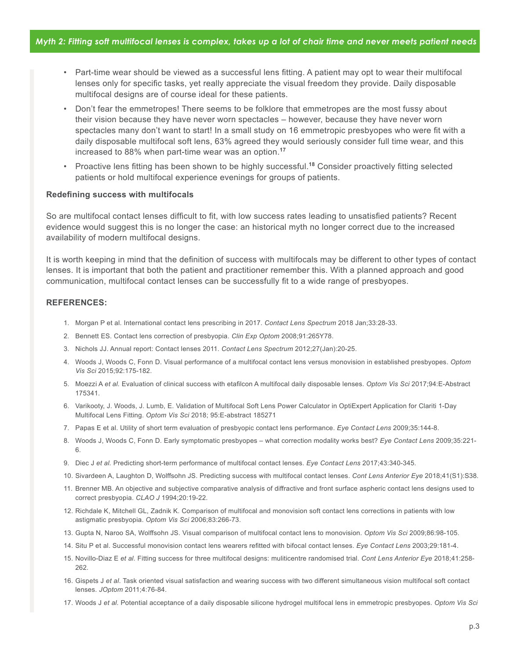- Part-time wear should be viewed as a successful lens fitting. A patient may opt to wear their multifocal lenses only for specific tasks, yet really appreciate the visual freedom they provide. Daily disposable multifocal designs are of course ideal for these patients.
- Don't fear the emmetropes! There seems to be folklore that emmetropes are the most fussy about their vision because they have never worn spectacles – however, because they have never worn spectacles many don't want to start! In a small study on 16 emmetropic presbyopes who were fit with a daily disposable multifocal soft lens, 63% agreed they would seriously consider full time wear, and this increased to 88% when part-time wear was an option.**<sup>17</sup>**
- Proactive lens fitting has been shown to be highly successful.**<sup>18</sup>** Consider proactively fitting selected patients or hold multifocal experience evenings for groups of patients.

#### **Redefining success with multifocals**

So are multifocal contact lenses difficult to fit, with low success rates leading to unsatisfied patients? Recent evidence would suggest this is no longer the case: an historical myth no longer correct due to the increased availability of modern multifocal designs.

It is worth keeping in mind that the definition of success with multifocals may be different to other types of contact lenses. It is important that both the patient and practitioner remember this. With a planned approach and good communication, multifocal contact lenses can be successfully fit to a wide range of presbyopes.

#### **REFERENCES:**

- 1. Morgan P et al. International contact lens prescribing in 2017. *Contact Lens Spectrum* 2018 Jan;33:28-33.
- 2. Bennett ES. Contact lens correction of presbyopia. *Clin Exp Optom* 2008;91:265Y78.
- 3. Nichols JJ. Annual report: Contact lenses 2011. *Contact Lens Spectrum* 2012;27(Jan):20-25.
- 4. Woods J, Woods C, Fonn D. Visual performance of a multifocal contact lens versus monovision in established presbyopes. *Optom Vis Sci* 2015;92:175-182.
- 5. Moezzi A *et al.* Evaluation of clinical success with etafilcon A multifocal daily disposable lenses. *Optom Vis Sci* 2017;94:E-Abstract 175341.
- 6. Varikooty, J. Woods, J. Lumb, E. Validation of Multifocal Soft Lens Power Calculator in OptiExpert Application for Clariti 1-Day Multifocal Lens Fitting. *Optom Vis Sci* 2018; 95:E-abstract 185271
- 7. Papas E et al. Utility of short term evaluation of presbyopic contact lens performance. *Eye Contact Lens* 2009;35:144-8.
- 8. Woods J, Woods C, Fonn D. Early symptomatic presbyopes what correction modality works best? *Eye Contact Lens* 2009;35:221- 6.
- 9. Diec J *et al.* Predicting short-term performance of multifocal contact lenses. *Eye Contact Lens* 2017;43:340-345.
- 10. Sivardeen A, Laughton D, Wolffsohn JS. Predicting success with multifocal contact lenses. *Cont Lens Anterior Eye* 2018;41(S1):S38.
- 11. Brenner MB. An objective and subjective comparative analysis of diffractive and front surface aspheric contact lens designs used to correct presbyopia. *CLAO J* 1994;20:19-22.
- 12. Richdale K, Mitchell GL, Zadnik K. Comparison of multifocal and monovision soft contact lens corrections in patients with low astigmatic presbyopia. *Optom Vis Sci* 2006;83:266-73.
- 13. Gupta N, Naroo SA, Wolffsohn JS. Visual comparison of multifocal contact lens to monovision. *Optom Vis Sci* 2009;86:98-105.
- 14. Situ P et al. Successful monovision contact lens wearers refitted with bifocal contact lenses. *Eye Contact Lens* 2003;29:181-4.
- 15. Novillo-Diaz E *et al.* Fitting success for three multifocal designs: muliticentre randomised trial. *Cont Lens Anterior Eye* 2018;41:258- 262.
- 16. Gispets J *et al*. Task oriented visual satisfaction and wearing success with two different simultaneous vision multifocal soft contact lenses. *JOptom* 2011;4:76-84.
- 17. Woods J *et al.* Potential acceptance of a daily disposable silicone hydrogel multifocal lens in emmetropic presbyopes. *Optom Vis Sci*